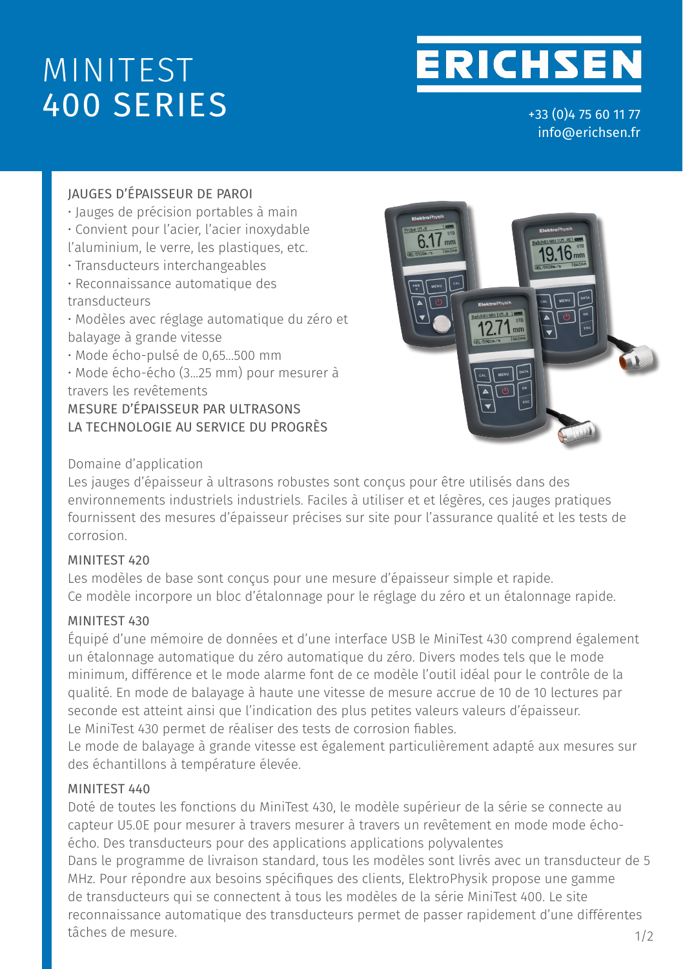# MINITEST 400 SERIES

**ERICHSEN** 

**Measurement**

+33 (0)4 75 60 11 77 info@erichsen.fr

**MiniTest 400 Series**

### JAUGES D'ÉPAISSEUR DE PAROI

- Jauges de précision portables à main
- Convient pour l'acier, l'acier inoxydable
- l'aluminium, le verre, les plastiques, etc.
- Transducteurs interchangeables
- Reconnaissance automatique des transducteurs

• Modèles avec réglage automatique du zéro et balayage à grande vitesse

• Mode écho-pulsé de 0,65...500 mm

• Mode écho-écho (3...25 mm) pour mesurer à travers les revêtements MESURE D'ÉPAISSEUR PAR ULTRASONS LA TECHNOLOGIE AU SERVICE DU PROGRÈS



#### Domaine d'application

Les jauges d'épaisseur à ultrasons robustes sont conçus pour être utilisés dans des environnements industriels industriels. Faciles à utiliser et et légères, ces jauges pratiques fournissent des mesures d'épaisseur précises sur site pour l'assurance qualité et les tests de corrosion.

#### MINITEST 420

Les modèles de base sont conçus pour une mesure d'épaisseur simple et rapide. Ce modèle incorpore un bloc d'étalonnage pour le réglage du zéro et un étalonnage rapide.

#### MINITEST 430

Équipé d'une mémoire de données et d'une interface USB le MiniTest 430 comprend également un étalonnage automatique du zéro automatique du zéro. Divers modes tels que le mode minimum, différence et le mode alarme font de ce modèle l'outil idéal pour le contrôle de la qualité. En mode de balayage à haute une vitesse de mesure accrue de 10 de 10 lectures par seconde est atteint ainsi que l'indication des plus petites valeurs valeurs d'épaisseur. Le MiniTest 430 permet de réaliser des tests de corrosion fiables.

Le mode de balayage à grande vitesse est également particulièrement adapté aux mesures sur des échantillons à température élevée.

#### MINITEST 440

Doté de toutes les fonctions du MiniTest 430, le modèle supérieur de la série se connecte au capteur U5.0E pour mesurer à travers mesurer à travers un revêtement en mode mode échoécho. Des transducteurs pour des applications applications polyvalentes

Dans le programme de livraison standard, tous les modèles sont livrés avec un transducteur de 5 MHz. Pour répondre aux besoins spécifiques des clients, ElektroPhysik propose une gamme de transducteurs qui se connectent à tous les modèles de la série MiniTest 400. Le site reconnaissance automatique des transducteurs permet de passer rapidement d'une différentes tâches de mesure.